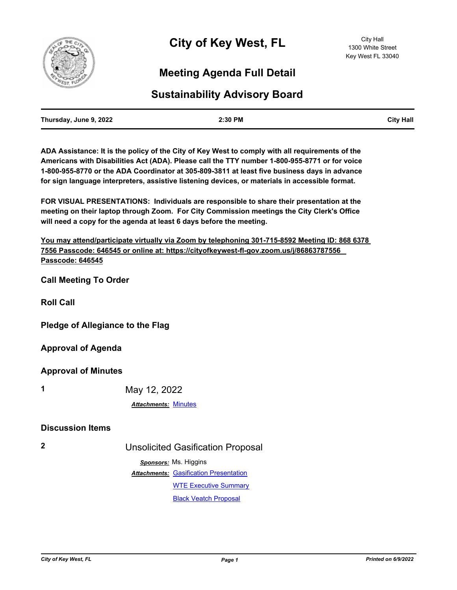

## **Meeting Agenda Full Detail**

## **Sustainability Advisory Board**

| Thursday, June 9, 2022 | 2:30 PM | <b>City Hall</b> |
|------------------------|---------|------------------|
|                        |         |                  |

**ADA Assistance: It is the policy of the City of Key West to comply with all requirements of the Americans with Disabilities Act (ADA). Please call the TTY number 1-800-955-8771 or for voice 1-800-955-8770 or the ADA Coordinator at 305-809-3811 at least five business days in advance for sign language interpreters, assistive listening devices, or materials in accessible format.**

**FOR VISUAL PRESENTATIONS: Individuals are responsible to share their presentation at the meeting on their laptop through Zoom. For City Commission meetings the City Clerk's Office will need a copy for the agenda at least 6 days before the meeting.**

**You may attend/participate virtually via Zoom by telephoning 301-715-8592 Meeting ID: 868 6378 7556 Passcode: 646545 or online at: https://cityofkeywest-fl-gov.zoom.us/j/86863787556 Passcode: 646545**

**Call Meeting To Order**

**Roll Call**

**Pledge of Allegiance to the Flag**

**Approval of Agenda**

**Approval of Minutes**

**1** May 12, 2022

*Attachments:* [Minutes](http://KeyWest.legistar.com/gateway.aspx?M=F&ID=d56766bb-672c-476b-8de3-e241e9450ccd.pdf)

## **Discussion Items**

**2** Unsolicited Gasification Proposal

*Sponsors:* Ms. Higgins **Attachments: [Gasification Presentation](http://KeyWest.legistar.com/gateway.aspx?M=F&ID=8b87de54-a3a3-4780-9688-a19745570639.pdf)** [WTE Executive Summary](http://KeyWest.legistar.com/gateway.aspx?M=F&ID=5d8388d7-fd01-477d-9e48-bddea828700a.pdf) [Black Veatch Proposal](http://KeyWest.legistar.com/gateway.aspx?M=F&ID=9e1bbda5-b2a8-44f6-a971-a11b0159ed1a.pdf)